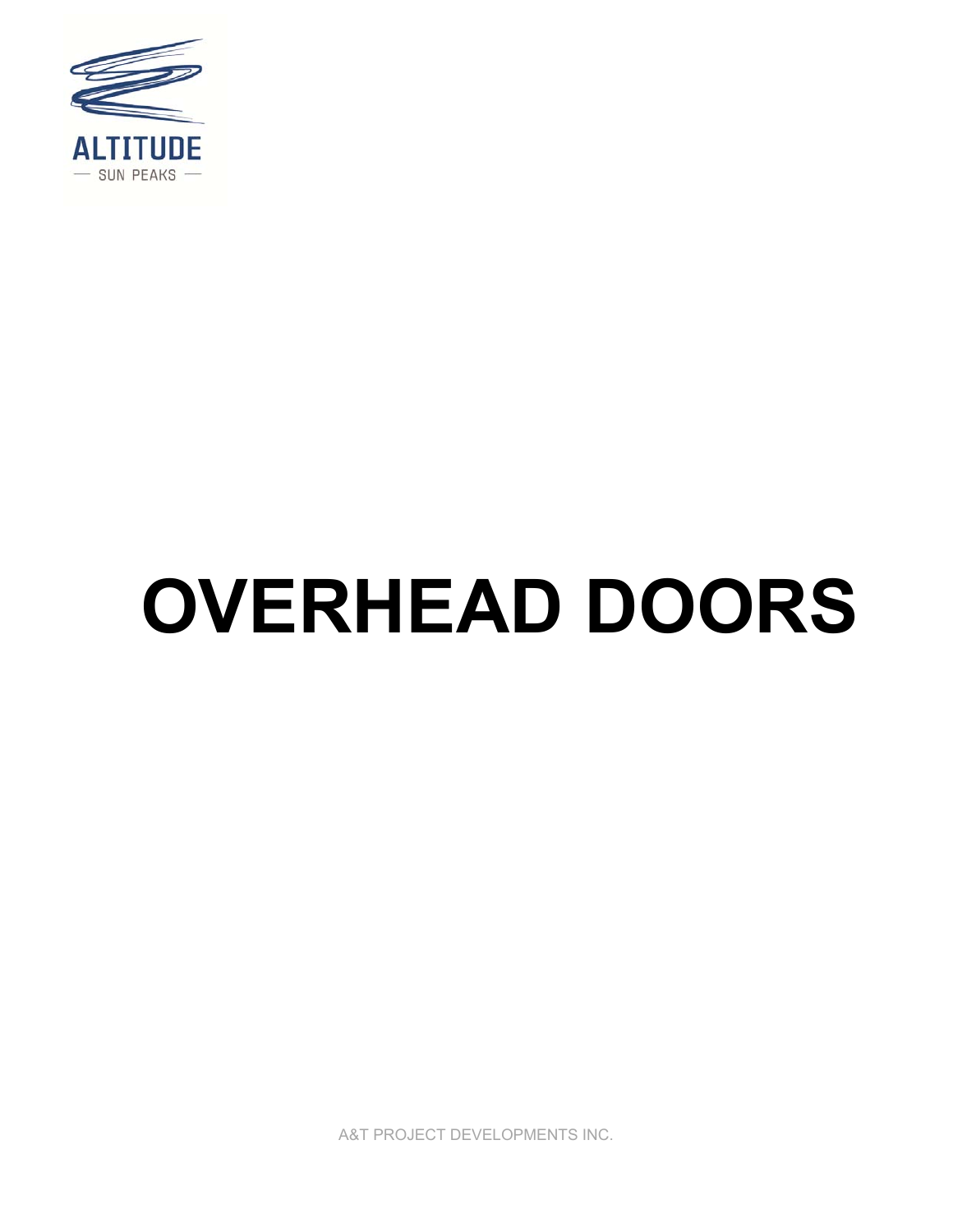

# **OVERHEAD DOORS**

A&T PROJECT DEVELOPMENTS INC.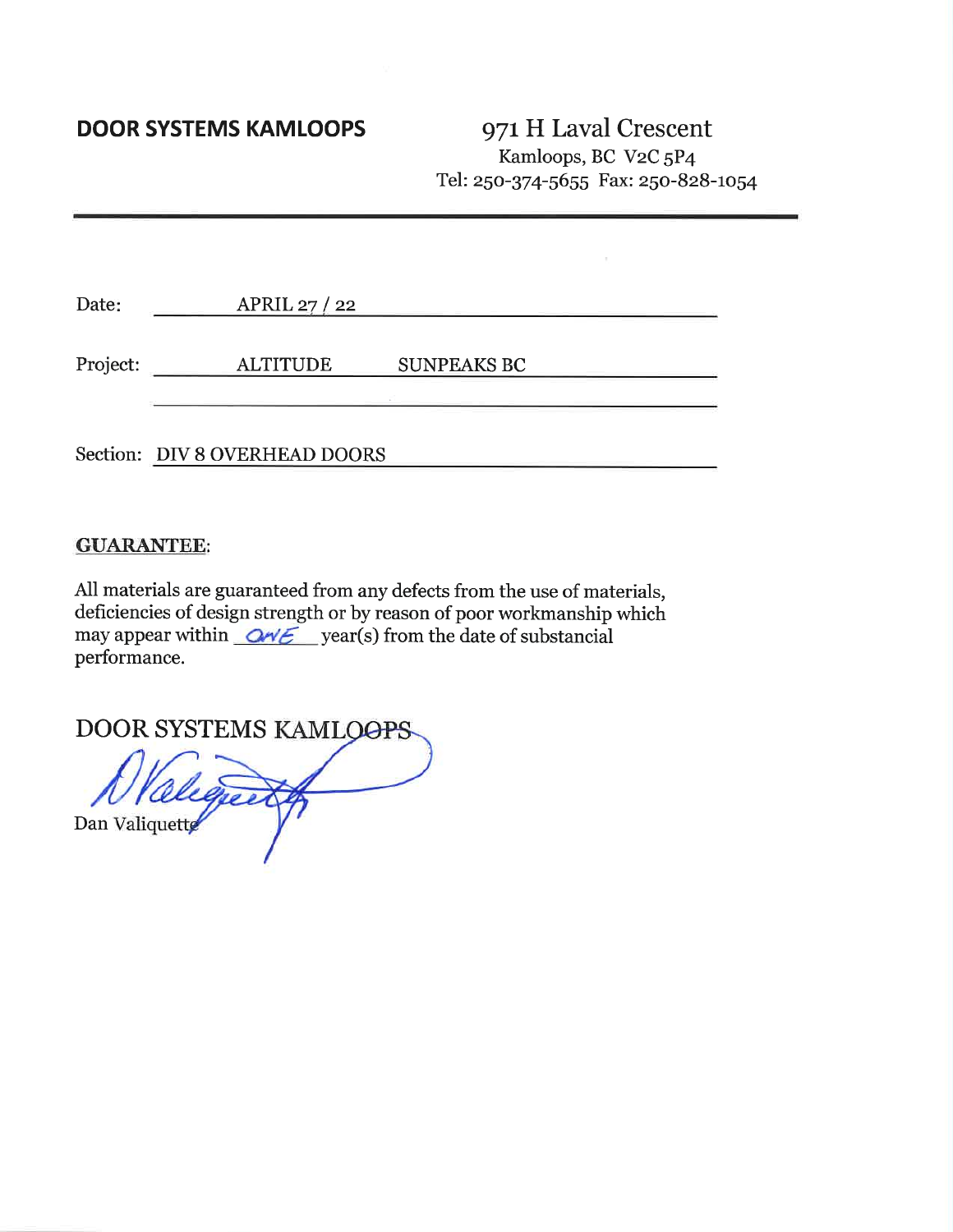## **DOOR SYSTEMS KAMLOOPS**

971 H Laval Crescent Kamloops, BC V2C 5P4 Tel: 250-374-5655 Fax: 250-828-1054

| Date:    | APRIL 27 $/$ 22               |                    |
|----------|-------------------------------|--------------------|
| Project: | <b>ALTITUDE</b>               | <b>SUNPEAKS BC</b> |
|          | Section: DIV 8 OVERHEAD DOORS |                    |

### **GUARANTEE:**

All materials are guaranteed from any defects from the use of materials, deficiencies of design strength or by reason of poor workmanship which may appear within  $\alpha \ll 1$  year(s) from the date of substancial performance.

**DOOR SYSTEMS KAMLOOPS** 

Dan Valiquette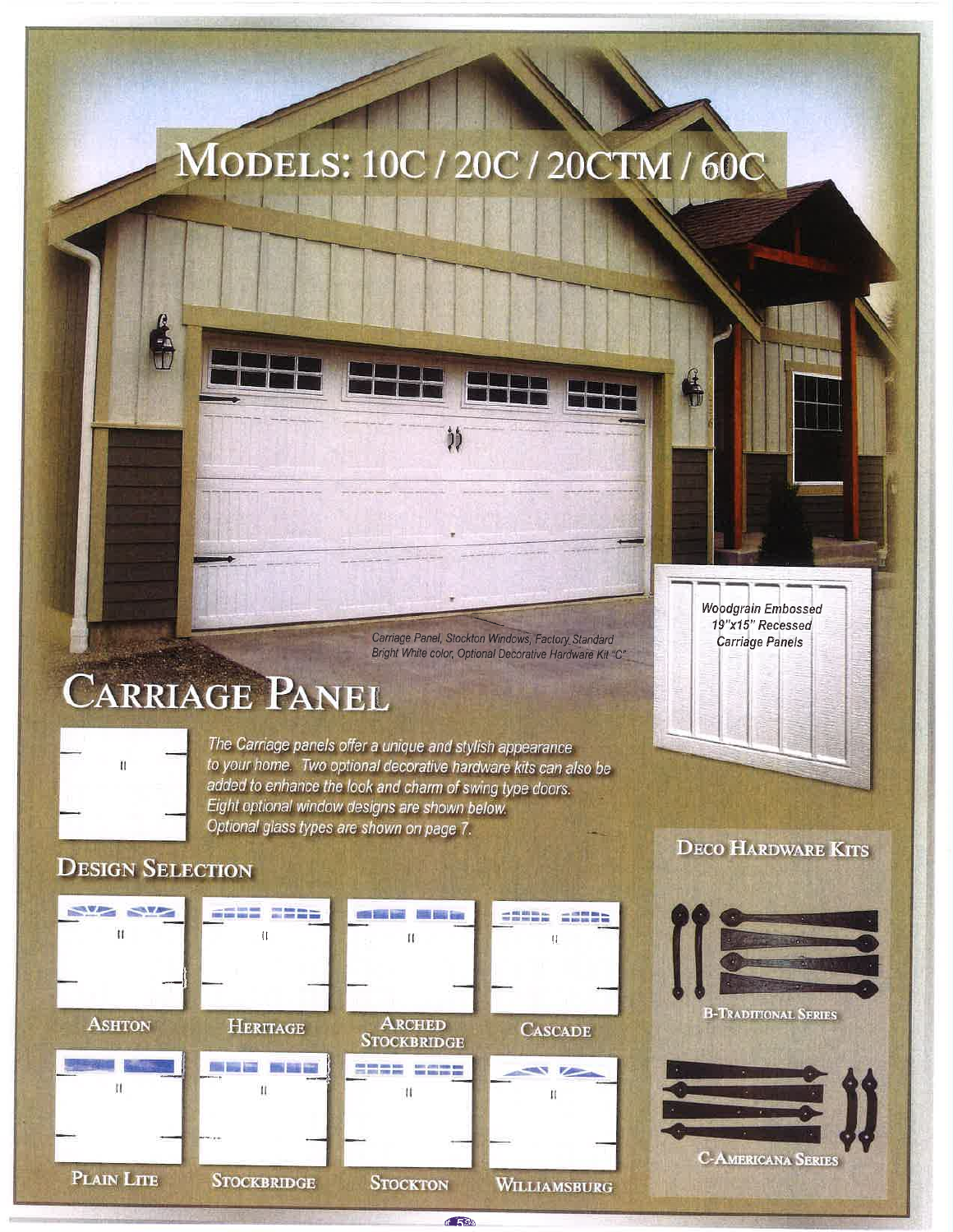## MODELS: 10C / 20C / 20CTM / 60C

ື່ງງໍ

Carriage Panel, Stockton Windows, Factory Standard Bright White color, Optional Decorative Hardware Kit "C"

**SSEDD SSEDD** 

 $\mathfrak{f}\mathfrak{f}$ 

**CASCADE** 

Ĥ

**WILLIAMSBURG** 

P.

## **CARRIAGE PANEL**

**WEED CERS** 

 $\bar{1}$ 

Ï1

**NEW NEW** 

 $\mathbf{u}$ 

**ASHTON** 

 $\mathfrak{m}$ 

The Carriage panels offer a unique and stylish appearance to your home. Two optional decorative hardware kits can also be added to enhance the look and charm of swing type doors. Eight optional window designs are shown below. Optional glass types are shown on page 7.

**START** 

 $\mathbf{H}$ 

手書師

**DECO HARDWARE KITS** 

**Woodgrain Embossed** 19"x15" Recessed

**Carriage Panels** 





**DESIGN SELECTION** 

 $\frac{1}{2}$ 

PLAIN LITE

**ARCHED HERITAGE STOCKBRIDGE** ≕ **New Area Adve START MARK**  $\mathbf{u}$ it **STOCKBRIDGE STOCKTON** 

 $6.533$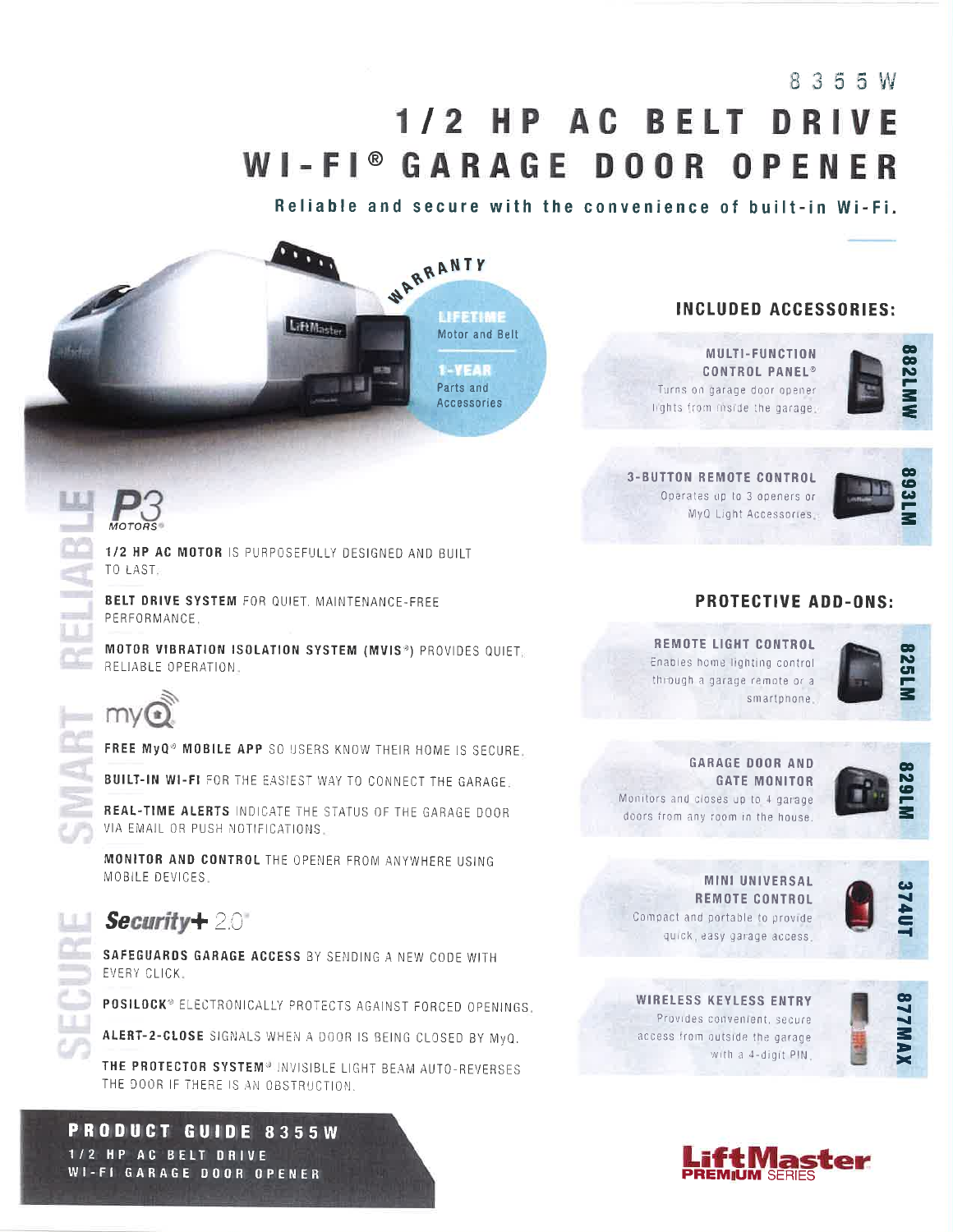## 8355W

## 1/2 HP AC BELT DRIVE WI-FI® GARAGE DOOR OPENER

WARRANTY

LIFETIME

1-YEAR

Parts and

**Accessories** 

Motor and Belt

Reliable and secure with the convenience of built-in Wi-Fi.

### **INCLUDED ACCESSORIES:**

MULTI-FUNCTION **CONTROL PANEL®** Turns on garage door opener lights from inside the garage:



**3-BUTTON REMOTE CONTROL** Operates up to 3 openers or MyQ Light Accessories





1/2 HP AC MOTOR IS PURPOSEFULLY DESIGNED AND BUILT TO LAST-

**BELT DRIVE SYSTEM FOR QUIET. MAINTENANCE-FREE** PERFORMANCE.

MOTOR VIBRATION ISOLATION SYSTEM (MVIS<sup>®</sup>) PROVIDES QUIET. RELIABLE OPERATION.

**LiftMaster** 



 $m =$ 

FREE MyQ<sup>®</sup> MOBILE APP SO USERS KNOW THEIR HOME IS SECURE.

**BUILT-IN WI-FI** FOR THE EASIEST WAY TO CONNECT THE GARAGE.

REAL-TIME ALERTS INDICATE THE STATUS OF THE GARAGE DOOR VIA EMAIL OR PUSH NOTIFICATIONS.

MONITOR AND CONTROL THE OPENER FROM ANYWHERE USING MOBILE DEVICES.

## $Section 20$

SAFEGUARDS GARAGE ACCESS BY SENDING A NEW CODE WITH EVERY CLICK.

POSILOCK® ELECTRONICALLY PROTECTS AGAINST FORCED OPENINGS.

ALERT-2-CLOSE SIGNALS WHEN A DOOR IS BEING CLOSED BY MyQ.

THE PROTECTOR SYSTEM® INVISIBLE LIGHT BEAM AUTO-REVERSES THE DOOR IF THERE IS AN OBSTRUCTION.

PRODUCT GUIDE 8355W 1/2 HP AC BELT DRIVE **WI-FI GARAGE DOOR OPENER** 

### **PROTECTIVE ADD-ONS:**

**REMOTE LIGHT CONTROL** Enables home lighting control through a garage remote or a smartphone.



**GARAGE DOOR AND GATE MONITOR** Monitors and closes up to 4 garage doors from any room in the house.



**MINI UNIVERSAL REMOTE CONTROL** Compact and portable to provide quick, easy garage access.



**WIRELESS KEYLESS ENTRY** Provides convenient, secure access from outside the garage with a 4-digit PIN,



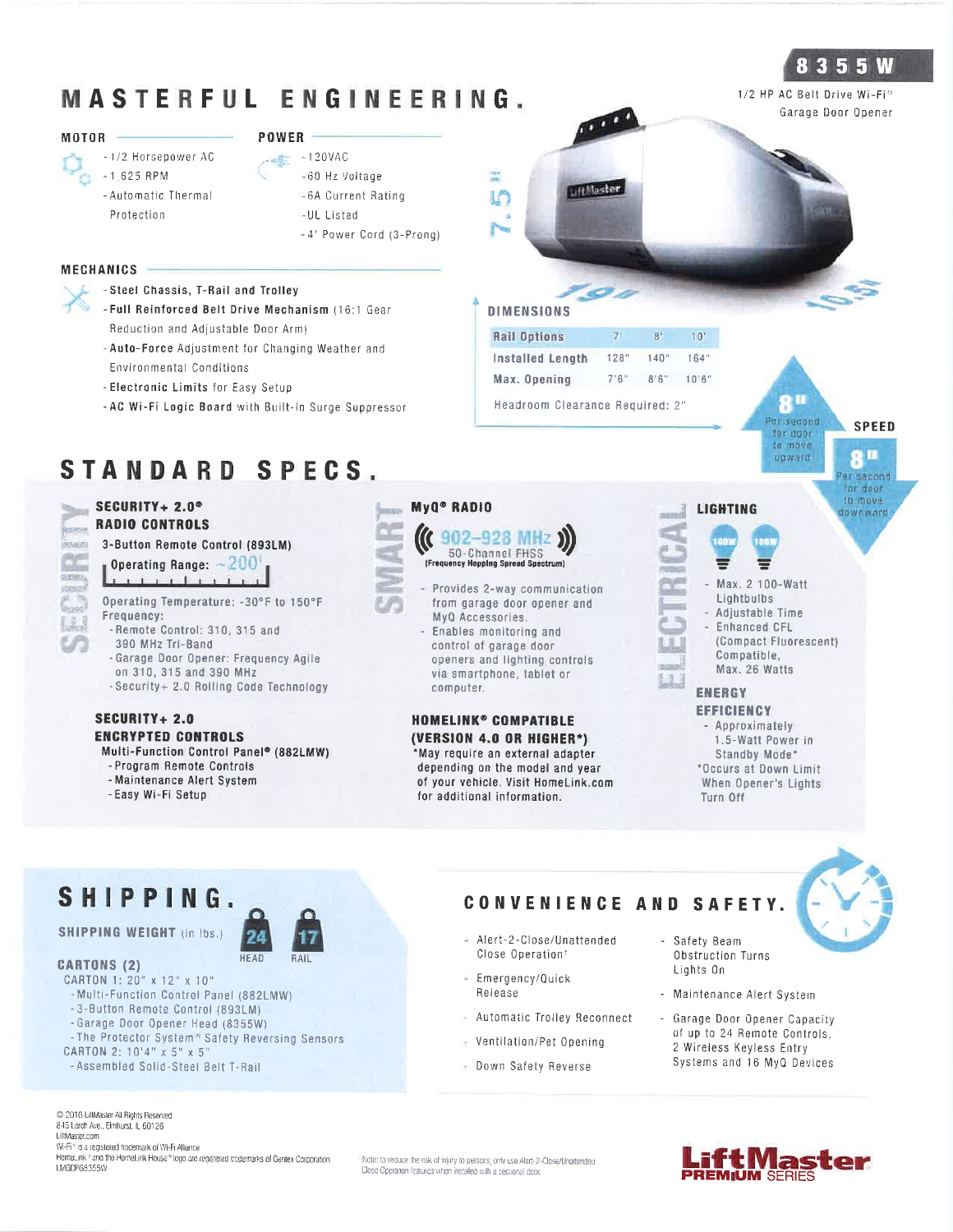## MASTERFUL ENGINEERING.

#### **MOTOR**

- -1/2 Horsepower AC
	- $-1.625$  RPM - Automatic Thermal
	- Protection
- $POWER =$ 
	- $\frac{1}{2}$  120VAC
	- 60 Hz Voltage
	- =6A Current Rating
	- -UL Listed
	- -4' Power Cord (3-Prong)

#### MECHANICS<sup>-</sup>

- -Steel Chassis, T-Rail and Trolley
- Full Reinforced Belt Drive Mechanism (16:1 Gear Reduction and Adjustable Door Arm)
- Auto-Force Adjustment for Changing Weather and **Environmental Conditions**
- Electronic Limits for Easy Setup
- AC Wi-Fi Logic Board with Built-In Surge Suppressor

## STANDARD SPECS.

#### SECURITY+ 2.0<sup>®</sup> **RADIO CONTROLS**

**BUMERN** 

#### 3-Button Remote Control (893LM)

Operating Range:  $\sim$  200 1 1 1 1 1 1 1 1 1 1

Operating Temperature: - 30°F to 150°F Frequency:

- Remote Control: 310, 315 and 390 MHz Tri-Band
- Garage Door Opener: Frequency Agile
- on 310, 315 and 390 MHz
- Security+ 2.0 Rolling Code Technology

#### **SECURITY+ 2.0 ENCRYPTED CONTROLS** Multi-Function Control Panel® (882LMW)

- Program Remote Controls

- 
- Maintenance Alert System - Easy Wi-Fi Setup



#### 902-928 MHz 50-Channel FHSS

MyQ<sup>®</sup> RADIO

 $\frac{1}{2}$ 

LA

**DIMENSIONS** 

**Rail Options** 

**Installed Length** 

Max. Opening

LiftMaster

 $7<sup>1</sup>$ 

 $128"$ 

 $7.6$ "

Headroom Clearance Required: 2"

 $8<sup>1</sup>$ 

 $140"$ 

 $8'6''$ 

 $10<sup>1</sup>$ 

 $164"$ 

 $10'6''$ 



- Enables monitoring and control of garage door openers and lighting controls via smartphone, tablet or computer.

#### **HOMELINK® COMPATIBLE** (VERSION 4.0 OR HIGHER\*) May require an external adapter depending on the model and year of your vehicle. Visit HomeLink.com for additional information.



## SHIPPING.

#### **SHIPPING WEIGHT (in Ibs.)**



#### CARTON 1: 20" x 12" x 10"

**CARTONS (2)** 

- Multi-Function Control Panel (882LMW)
- -3-Button Remote Control (893LM)
- -Garage Door Opener Head (8355W)
- The Protector System<sup>®</sup> Safety Reversing Sensors
- CARTON 2: 10'4" x 5" x 5"

- Assembled Solid-Steel Belt T-Rail

C 2016 LiftMaster All Rights Reserved 845 Larch Ave., Elmhurst, IL 60126 LiBMaster.com Wi-Fi\* is a registered trademark of Wi-Fi Alliance

HomeLink<sup>®</sup> and the HomeLink House® logo are registered trademarks of Gentex Corporation LMGDPG8355W

Note: to reduce the risk of injury to persons, only use Alert-2-Close/Unattended Close Operation features when installed with a sectional door.



## **LIGHTING**

- Max. 2 100-Watt Lightbulbs
	- Adjustable Time
- Enhanced CFL (Compact Fluorescent)
- Compatible. Max. 26 Watts

## ENERGY

- Safety Beam

Lights On

**EFFICIENCY** - Approximately 1.5-Watt Power in Standby Mode\* \*Occurs at Down Limit When Opener's Lights Turn Off

## CONVENIENCE AND SAFETY.

- Alert-2-Close/Unattended Close Operation<sup>t</sup>
- Emergency/Quick Release
- Automatic Trolley Reconnect
- = Ventilation/Pet Opening
- Down Safety Reverse
- Obstruction Turns - Maintenance Alert System Garage Door Opener Capacity
	-

**PREMIUM SERIES** 



### 8 3 5 5 W

1/2 HP AC Belt Drive Wi-Fi<sup>®</sup> Garage Door Opener

**All** 

Per second

for door to move

upward

**SPEED** 

QН

er sacond for door tu move

**Banwoward**